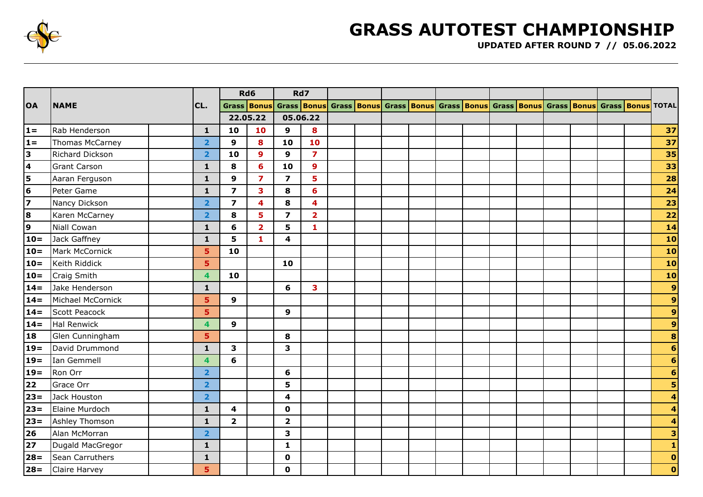

## **GRASS AUTOTEST CHAMPIONSHIP**

**UPDATED AFTER ROUND 7 // 05.06.2022**

| <b>OA</b>                 | <b>NAME</b>          |  |                | Rd6                     |                         | Rd7                                                                                                                          |                         |  |  |  |  |  |  |  |  |  |  |  |                         |
|---------------------------|----------------------|--|----------------|-------------------------|-------------------------|------------------------------------------------------------------------------------------------------------------------------|-------------------------|--|--|--|--|--|--|--|--|--|--|--|-------------------------|
|                           |                      |  | CL.            | Grass Bonus             |                         | Grass <mark>  Bonus   Grass   Bonus   Grass   Bonus   Grass   Bonus   Grass   Bonus   Bonus   Grass   Bonus   TOTAL  </mark> |                         |  |  |  |  |  |  |  |  |  |  |  |                         |
|                           |                      |  |                | 22.05.22                |                         | 05.06.22                                                                                                                     |                         |  |  |  |  |  |  |  |  |  |  |  |                         |
| $1 =$                     | Rab Henderson        |  | $\mathbf{1}$   | 10                      | 10                      | 9                                                                                                                            | 8                       |  |  |  |  |  |  |  |  |  |  |  | 37                      |
| $1 =$                     | Thomas McCarney      |  | $\overline{2}$ | 9                       | 8                       | 10                                                                                                                           | 10                      |  |  |  |  |  |  |  |  |  |  |  | 37                      |
| $\overline{\mathbf{3}}$   | Richard Dickson      |  | $\overline{2}$ | 10                      | $\mathbf{9}$            | 9                                                                                                                            | $\overline{\mathbf{z}}$ |  |  |  |  |  |  |  |  |  |  |  | 35                      |
| $\overline{\mathbf{4}}$   | <b>Grant Carson</b>  |  | $\mathbf{1}$   | 8                       | 6                       | 10                                                                                                                           | $\mathbf{9}$            |  |  |  |  |  |  |  |  |  |  |  | 33                      |
| $\frac{5}{6}$             | Aaran Ferguson       |  | $\mathbf{1}$   | $\mathbf{9}$            | $\overline{\mathbf{z}}$ | $\overline{\mathbf{z}}$                                                                                                      | 5                       |  |  |  |  |  |  |  |  |  |  |  | 28                      |
|                           | Peter Game           |  | $\mathbf{1}$   | $\overline{\mathbf{z}}$ | $\overline{\mathbf{3}}$ | 8                                                                                                                            | $6\phantom{a}$          |  |  |  |  |  |  |  |  |  |  |  | 24                      |
| $\overline{\overline{z}}$ | Nancy Dickson        |  | $\overline{2}$ | $\overline{\mathbf{z}}$ | 4                       | 8                                                                                                                            | 4                       |  |  |  |  |  |  |  |  |  |  |  | 23                      |
| $\frac{8}{9}$             | Karen McCarney       |  | $\overline{2}$ | 8                       | 5                       | $\overline{\mathbf{z}}$                                                                                                      | $\overline{2}$          |  |  |  |  |  |  |  |  |  |  |  | $22$                    |
|                           | <b>Niall Cowan</b>   |  | $\mathbf{1}$   | 6                       | $\overline{\mathbf{2}}$ | 5                                                                                                                            | $\mathbf{1}$            |  |  |  |  |  |  |  |  |  |  |  | 14                      |
| $10=$                     | Jack Gaffney         |  | $\mathbf{1}$   | 5                       | $\mathbf{1}$            | $\overline{\mathbf{4}}$                                                                                                      |                         |  |  |  |  |  |  |  |  |  |  |  | 10                      |
| $10 =$                    | Mark McCornick       |  | 5              | 10                      |                         |                                                                                                                              |                         |  |  |  |  |  |  |  |  |  |  |  | 10                      |
| $10=$                     | Keith Riddick        |  | 5              |                         |                         | 10                                                                                                                           |                         |  |  |  |  |  |  |  |  |  |  |  | 10                      |
| $10=$                     | <b>Craig Smith</b>   |  | 4              | 10                      |                         |                                                                                                                              |                         |  |  |  |  |  |  |  |  |  |  |  | 10                      |
| $14 =$                    | Jake Henderson       |  | $\mathbf{1}$   |                         |                         | 6                                                                                                                            | 3                       |  |  |  |  |  |  |  |  |  |  |  | $\overline{9}$          |
| $14=$                     | Michael McCornick    |  | 5              | 9                       |                         |                                                                                                                              |                         |  |  |  |  |  |  |  |  |  |  |  | $\overline{9}$          |
| $14 =$                    | Scott Peacock        |  | 5.             |                         |                         | 9                                                                                                                            |                         |  |  |  |  |  |  |  |  |  |  |  | $\overline{9}$          |
| $14 =$                    | Hal Renwick          |  | 4              | 9                       |                         |                                                                                                                              |                         |  |  |  |  |  |  |  |  |  |  |  | $\mathbf{9}$            |
| 18                        | Glen Cunningham      |  | 5.             |                         |                         | 8                                                                                                                            |                         |  |  |  |  |  |  |  |  |  |  |  | $\bullet$               |
| $19=$                     | David Drummond       |  | $\mathbf{1}$   | 3                       |                         | 3                                                                                                                            |                         |  |  |  |  |  |  |  |  |  |  |  | $\overline{\mathbf{6}}$ |
| $19 =$                    | Ian Gemmell          |  | 4              | 6                       |                         |                                                                                                                              |                         |  |  |  |  |  |  |  |  |  |  |  | $6 \overline{6}$        |
| $19=$                     | Ron Orr              |  | $\overline{2}$ |                         |                         | 6                                                                                                                            |                         |  |  |  |  |  |  |  |  |  |  |  | $6 \mid$                |
| $\overline{22}$           | Grace Orr            |  | $\overline{2}$ |                         |                         | 5                                                                                                                            |                         |  |  |  |  |  |  |  |  |  |  |  | 5                       |
| $23 =$                    | Jack Houston         |  | $\overline{2}$ |                         |                         | 4                                                                                                                            |                         |  |  |  |  |  |  |  |  |  |  |  | $\overline{\mathbf{4}}$ |
| $23 =$                    | Elaine Murdoch       |  | $\mathbf{1}$   | 4                       |                         | $\mathbf 0$                                                                                                                  |                         |  |  |  |  |  |  |  |  |  |  |  | $\overline{\mathbf{4}}$ |
| $23 =$                    | Ashley Thomson       |  | $\mathbf{1}$   | $\overline{\mathbf{2}}$ |                         | $\mathbf{2}$                                                                                                                 |                         |  |  |  |  |  |  |  |  |  |  |  | $\overline{\mathbf{4}}$ |
| 26                        | Alan McMorran        |  | $\overline{2}$ |                         |                         | 3                                                                                                                            |                         |  |  |  |  |  |  |  |  |  |  |  | $\mathbf{a}$            |
| 27                        | Dugald MacGregor     |  | $\mathbf{1}$   |                         |                         | $\mathbf{1}$                                                                                                                 |                         |  |  |  |  |  |  |  |  |  |  |  | $\mathbf{1}$            |
| $28=$                     | Sean Carruthers      |  | $\mathbf{1}$   |                         |                         | $\mathbf 0$                                                                                                                  |                         |  |  |  |  |  |  |  |  |  |  |  | $\bullet$               |
|                           | $28 =$ Claire Harvey |  | 5              |                         |                         | $\mathbf 0$                                                                                                                  |                         |  |  |  |  |  |  |  |  |  |  |  | $\mathbf{o}$            |